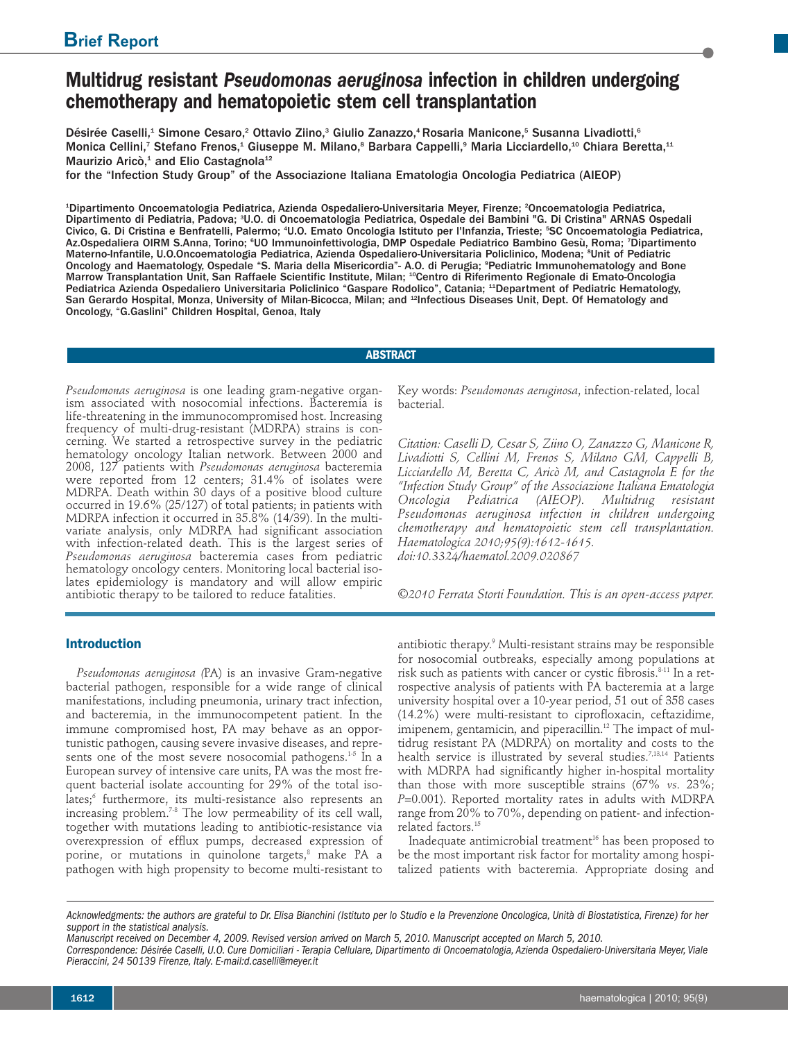# **Multidrug resistant** *Pseudomonas aeruginosa* **infection in children undergoing chemotherapy and hematopoietic stem cell transplantation**

Désirée Caselli,<sup>1</sup> Simone Cesaro,<sup>2</sup> Ottavio Ziino,<sup>3</sup> Giulio Zanazzo,<sup>4</sup> Rosaria Manicone,<sup>5</sup> Susanna Livadiotti,<sup>6</sup> Monica Cellini,<sup>7</sup> Stefano Frenos,<sup>1</sup> Giuseppe M. Milano,<sup>s</sup> Barbara Cappelli,<sup>9</sup> Maria Licciardello,<sup>10</sup> Chiara Beretta,<sup>11</sup> Maurizio Aricò,<sup>1</sup> and Elio Castagnola<sup>12</sup>

for the "Infection Study Group" of the Associazione Italiana Ematologia Oncologia Pediatrica (AIEOP)

1 Dipartimento Oncoematologia Pediatrica, Azienda Ospedaliero-Universitaria Meyer, Firenze; <sup>2</sup> Oncoematologia Pediatrica, Dipartimento di Pediatria, Padova; <sup>3</sup>U.O. di Oncoematologia Pediatrica, Ospedale dei Bambini "G. Di Cristina" ARNAS Ospedali Civico, G. Di Cristina e Benfratelli, Palermo; <sup>4</sup> U.O. Emato Oncologia Istituto per l'Infanzia, Trieste; <sup>5</sup> SC Oncoematologia Pediatrica, Az.Ospedaliera OIRM S.Anna, Torino; °UO Immunoinfettivologia, DMP Ospedale Pediatrico Bambino Gesù, Roma; 'Dipartimento Materno-Infantile, U.O.Oncoematologia Pediatrica, Azienda Ospedaliero-Universitaria Policlinico, Modena; <sup>8</sup>Unit of Pediatric Oncology and Haematology, Ospedale "S. Maria della Misericordia"- A.O. di Perugia; <sup>9</sup>Pediatric Immunohematology and Bone Marrow Transplantation Unit, San Raffaele Scientific Institute, Milan; <sup>10</sup>Centro di Riferimento Regionale di Emato-Oncologia Pediatrica Azienda Ospedaliero Universitaria Policlinico "Gaspare Rodolico", Catania; <sup>11</sup>Department of Pediatric Hematology, San Gerardo Hospital, Monza, University of Milan-Bicocca, Milan; and <sup>12</sup>Infectious Diseases Unit, Dept. Of Hematology and Oncology, "G.Gaslini" Children Hospital, Genoa, Italy

# **ABSTRACT**

*Pseudomonas aeruginosa* is one leading gram-negative organism associated with nosocomial infections. Bacteremia is life-threatening in the immunocompromised host. Increasing frequency of multi-drug-resistant (MDRPA) strains is concerning. We started a retrospective survey in the pediatric hematology oncology Italian network. Between 2000 and 2008, 127 patients with *Pseudomonas aeruginosa* bacteremia were reported from 12 centers; 31.4% of isolates were MDRPA. Death within 30 days of a positive blood culture occurred in 19.6% (25/127) of total patients; in patients with MDRPA infection it occurred in 35.8% (14/39). In the multivariate analysis, only MDRPA had significant association with infection-related death. This is the largest series of *Pseudomonas aeruginosa* bacteremia cases from pediatric hematology oncology centers. Monitoring local bacterial isolates epidemiology is mandatory and will allow empiric antibiotic therapy to be tailored to reduce fatalities.

## **Introduction**

*Pseudomonas aeruginosa (*PA) is an invasive Gram-negative bacterial pathogen, responsible for a wide range of clinical manifestations, including pneumonia, urinary tract infection, and bacteremia, in the immunocompetent patient. In the immune compromised host, PA may behave as an opportunistic pathogen, causing severe invasive diseases, and represents one of the most severe nosocomial pathogens.<sup>1-5</sup> In a European survey of intensive care units, PA was the most frequent bacterial isolate accounting for 29% of the total isolates; <sup>6</sup> furthermore, its multi-resistance also represents an increasing problem. 7-8 The low permeability of its cell wall, together with mutations leading to antibiotic-resistance via overexpression of efflux pumps, decreased expression of porine, or mutations in quinolone targets, <sup>8</sup> make PA a pathogen with high propensity to become multi-resistant to Key words: *Pseudomonas aeruginosa*, infection-related, local bacterial.

*Citation: Caselli D, Cesar S, Ziino O, Zanazzo G, Manicone R, Livadiotti S, Cellini M, Frenos S, Milano GM, Cappelli B, Licciardello M, Beretta C, Aricò M, and Castagnola E for the "Infection Study Group" of the Associazione Italiana Ematologia Oncologia Pediatrica (AIEOP). Multidrug resistant Pseudomonas aeruginosa infection in children undergoing chemotherapy and hematopoietic stem cell transplantation. Haematologica 2010;95(9):1612-1615. doi:10.3324/haematol.2009.020867*

*©2010 Ferrata Storti Foundation. This is an open-access paper.*

antibiotic therapy. <sup>9</sup> Multi-resistant strains may be responsible for nosocomial outbreaks, especially among populations at risk such as patients with cancer or cystic fibrosis. 8-11 In a retrospective analysis of patients with PA bacteremia at a large university hospital over a 10-year period, 51 out of 358 cases (14.2%) were multi-resistant to ciprofloxacin, ceftazidime, imipenem, gentamicin, and piperacillin. <sup>12</sup> The impact of multidrug resistant PA (MDRPA) on mortality and costs to the health service is illustrated by several studies. 7,13,14 Patients with MDRPA had significantly higher in-hospital mortality than those with more susceptible strains (67% *vs*. 23%; *P*=0.001). Reported mortality rates in adults with MDRPA range from 20% to 70%, depending on patient- and infectionrelated factors. 15

Inadequate antimicrobial treatment <sup>16</sup> has been proposed to be the most important risk factor for mortality among hospitalized patients with bacteremia. Appropriate dosing and

Acknowledgments: the authors are grateful to Dr. Elisa Bianchini (Istituto per lo Studio e la Prevenzione Oncologica, Unità di Biostatistica, Firenze) for her *support in the statistical analysis.*

Manuscript received on December 4, 2009. Revised version arrived on March 5, 2010. Manuscript accepted on March 5, 2010. Correspondence: Désirée Caselli, U.O. Cure Domiciliari - Terapia Cellulare, Dipartimento di Oncoematologia, Azienda Ospedaliero-Universitaria Meyer, Viale *Pieraccini, 24 50139 Firenze, Italy. E-mail:d.caselli@meyer.it*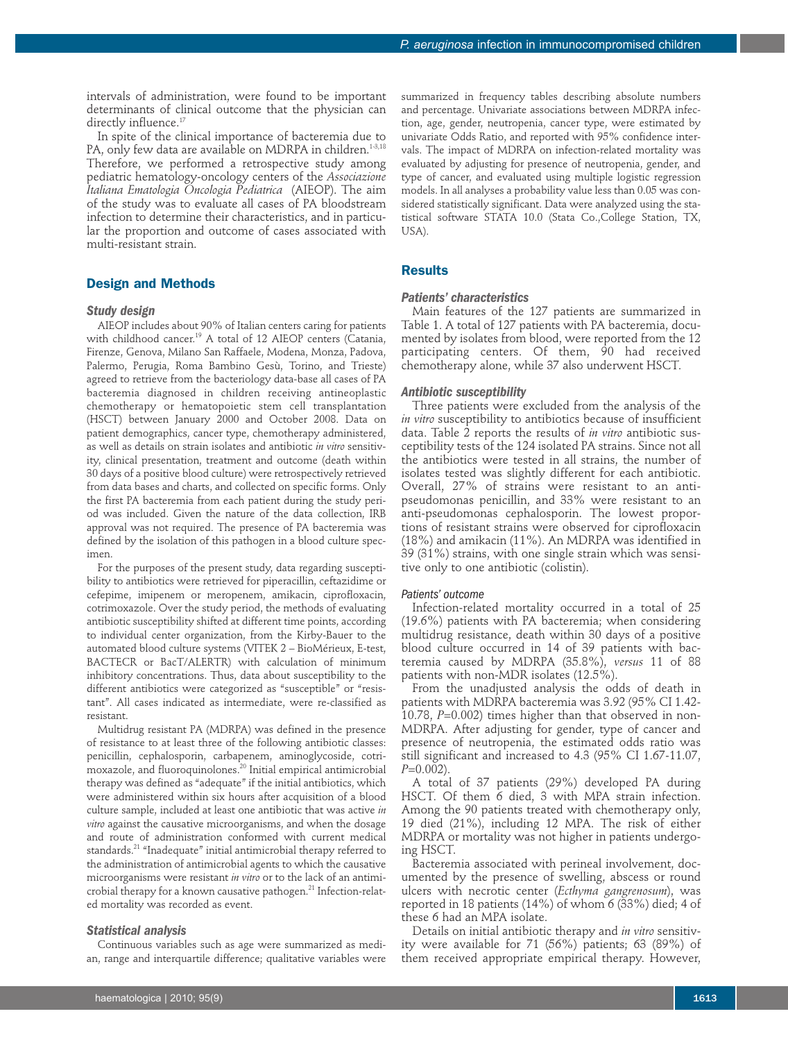intervals of administration, were found to be important determinants of clinical outcome that the physician can directly influence. 17

In spite of the clinical importance of bacteremia due to PA, only few data are available on MDRPA in children. 1-3,18 Therefore, we performed a retrospective study among pediatric hematology-oncology centers of the *Associazione Italiana Ematologia Oncologia Pediatrica* (AIEOP). The aim of the study was to evaluate all cases of PA bloodstream infection to determine their characteristics, and in particular the proportion and outcome of cases associated with multi-resistant strain.

### **Design and Methods**

#### *Study design*

AIEOP includes about 90% of Italian centers caring for patients with childhood cancer. <sup>19</sup> A total of 12 AIEOP centers (Catania, Firenze, Genova, Milano San Raffaele, Modena, Monza, Padova, Palermo, Perugia, Roma Bambino Gesù, Torino, and Trieste) agreed to retrieve from the bacteriology data-base all cases of PA bacteremia diagnosed in children receiving antineoplastic chemotherapy or hematopoietic stem cell transplantation (HSCT) between January 2000 and October 2008. Data on patient demographics, cancer type, chemotherapy administered, as well as details on strain isolates and antibiotic *in vitro* sensitivity, clinical presentation, treatment and outcome (death within 30 days of a positive blood culture) were retrospectively retrieved from data bases and charts, and collected on specific forms. Only the first PA bacteremia from each patient during the study period was included. Given the nature of the data collection, IRB approval was not required. The presence of PA bacteremia was defined by the isolation of this pathogen in a blood culture specimen.

For the purposes of the present study, data regarding susceptibility to antibiotics were retrieved for piperacillin, ceftazidime or cefepime, imipenem or meropenem, amikacin, ciprofloxacin, cotrimoxazole. Over the study period, the methods of evaluating antibiotic susceptibility shifted at different time points, according to individual center organization, from the Kirby-Bauer to the automated blood culture systems (VITEK 2 – BioMérieux, E-test, BACTECR or BacT/ALERTR) with calculation of minimum inhibitory concentrations. Thus, data about susceptibility to the different antibiotics were categorized as "susceptible" or "resistant". All cases indicated as intermediate, were re-classified as resistant.

Multidrug resistant PA (MDRPA) was defined in the presence of resistance to at least three of the following antibiotic classes: penicillin, cephalosporin, carbapenem, aminoglycoside, cotrimoxazole, and fluoroquinolones. <sup>20</sup> Initial empirical antimicrobial therapy was defined as "adequate" if the initial antibiotics, which were administered within six hours after acquisition of a blood culture sample, included at least one antibiotic that was active *in vitro* against the causative microorganisms, and when the dosage and route of administration conformed with current medical standards. <sup>21</sup> "Inadequate" initial antimicrobial therapy referred to the administration of antimicrobial agents to which the causative microorganisms were resistant *in vitro* or to the lack of an antimicrobial therapy for a known causative pathogen. <sup>21</sup> Infection-related mortality was recorded as event.

#### *Statistical analysis*

Continuous variables such as age were summarized as median, range and interquartile difference; qualitative variables were summarized in frequency tables describing absolute numbers and percentage. Univariate associations between MDRPA infection, age, gender, neutropenia, cancer type, were estimated by univariate Odds Ratio, and reported with 95% confidence intervals. The impact of MDRPA on infection-related mortality was evaluated by adjusting for presence of neutropenia, gender, and type of cancer, and evaluated using multiple logistic regression models. In all analyses a probability value less than 0.05 was considered statistically significant. Data were analyzed using the statistical software STATA 10.0 (Stata Co.,College Station, TX, USA).

## **Results**

### *Patients' characteristics*

Main features of the 127 patients are summarized in Table 1. A total of 127 patients with PA bacteremia, documented by isolates from blood, were reported from the 12 participating centers. Of them, 90 had received chemotherapy alone, while 37 also underwent HSCT.

#### *Antibiotic susceptibility*

Three patients were excluded from the analysis of the *in vitro* susceptibility to antibiotics because of insufficient data. Table 2 reports the results of *in vitro* antibiotic susceptibility tests of the 124 isolated PA strains. Since not all the antibiotics were tested in all strains, the number of isolates tested was slightly different for each antibiotic. Overall, 27% of strains were resistant to an antipseudomonas penicillin, and 33% were resistant to an anti-pseudomonas cephalosporin. The lowest proportions of resistant strains were observed for ciprofloxacin (18%) and amikacin (11%). An MDRPA was identified in 39 (31%) strains, with one single strain which was sensitive only to one antibiotic (colistin).

## *Patients' outcome*

Infection-related mortality occurred in a total of 25 (19.6%) patients with PA bacteremia; when considering multidrug resistance, death within 30 days of a positive blood culture occurred in 14 of 39 patients with bacteremia caused by MDRPA (35.8%), *versus* 11 of 88 patients with non-MDR isolates (12.5%).

From the unadjusted analysis the odds of death in patients with MDRPA bacteremia was 3.92 (95% CI 1.42- 10.78, *P*=0.002) times higher than that observed in non-MDRPA. After adjusting for gender, type of cancer and presence of neutropenia, the estimated odds ratio was still significant and increased to 4.3 (95% CI 1.67-11.07, *P*=0.002).

A total of 37 patients (29%) developed PA during HSCT. Of them 6 died, 3 with MPA strain infection. Among the 90 patients treated with chemotherapy only, 19 died (21%), including 12 MPA. The risk of either MDRPA or mortality was not higher in patients undergoing HSCT.

Bacteremia associated with perineal involvement, documented by the presence of swelling, abscess or round ulcers with necrotic center (*Ecthyma gangrenosum*), was reported in 18 patients (14%) of whom 6 (33%) died; 4 of these 6 had an MPA isolate.

Details on initial antibiotic therapy and *in vitro* sensitivity were available for 71 (56%) patients; 63 (89%) of them received appropriate empirical therapy. However,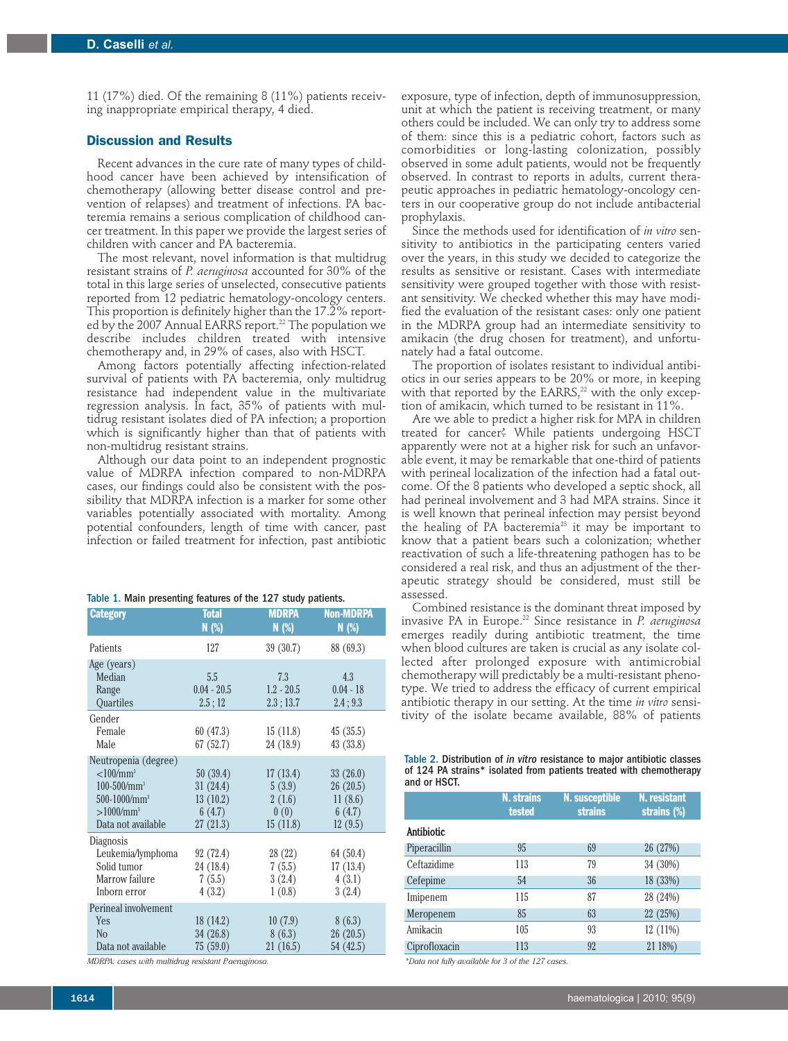11 (17%) died. Of the remaining 8 (11%) patients receiving inappropriate empirical therapy, 4 died.

## **Discussion and Results**

Recent advances in the cure rate of many types of childhood cancer have been achieved by intensification of chemotherapy (allowing better disease control and prevention of relapses) and treatment of infections. PA bacteremia remains a serious complication of childhood cancer treatment. In this paper we provide the largest series of children with cancer and PA bacteremia.

The most relevant, novel information is that multidrug resistant strains of *P. aeruginosa* accounted for 30% of the total in this large series of unselected, consecutive patients reported from 12 pediatric hematology-oncology centers. This proportion is definitely higher than the 17.2% reported by the 2007 Annual EARRS report. <sup>22</sup> The population we describe includes children treated with intensive chemotherapy and, in 29% of cases, also with HSCT.

Among factors potentially affecting infection-related survival of patients with PA bacteremia, only multidrug resistance had independent value in the multivariate regression analysis. In fact, 35% of patients with multidrug resistant isolates died of PA infection; a proportion which is significantly higher than that of patients with non-multidrug resistant strains.

Although our data point to an independent prognostic value of MDRPA infection compared to non-MDRPA cases, our findings could also be consistent with the possibility that MDRPA infection is a marker for some other variables potentially associated with mortality. Among potential confounders, length of time with cancer, past infection or failed treatment for infection, past antibiotic

|  | Table 1. Main presenting features of the 127 study patients. |  |  |  |  |  |
|--|--------------------------------------------------------------|--|--|--|--|--|
|--|--------------------------------------------------------------|--|--|--|--|--|

| <b>Category</b>            | <b>Total</b><br>$N$ (%) | <b>MDRPA</b><br>$N$ (%) | <b>Non-MDRPA</b><br>N(%) |
|----------------------------|-------------------------|-------------------------|--------------------------|
| Patients                   | 127                     | 39(30.7)                | 88 (69.3)                |
| Age (years)                |                         |                         |                          |
| Median                     | 5.5                     | 7.3                     | 4.3                      |
| Range                      | $0.04 - 20.5$           | $1.2 - 20.5$            | $0.04 - 18$              |
| <b>Quartiles</b>           | 2.5:12                  | 2.3; 13.7               | 2.4; 9.3                 |
| Gender                     |                         |                         |                          |
| Female                     | 60 (47.3)               | 15(11.8)                | 45(35.5)                 |
| Male                       | 67(52.7)                | 24 (18.9)               | 43(33.8)                 |
| Neutropenia (degree)       |                         |                         |                          |
| < 100 / mm <sup>3</sup>    | 50(39.4)                | 17(13.4)                | 33(26.0)                 |
| $100 - 500 / \text{mm}^3$  | 31(24.4)                | 5(3.9)                  | 26(20.5)                 |
| $500-1000/mm$ <sup>3</sup> | 13(10.2)                | 2(1.6)                  | 11(8.6)                  |
| $>1000/mm^3$               | 6(4.7)                  | 0(0)                    | 6(4.7)                   |
| Data not available         | 27(21.3)                | 15(11.8)                | 12(9.5)                  |
| Diagnosis                  |                         |                         |                          |
| Leukemia/lymphoma          | 92 (72.4)               | 28(22)                  | 64 (50.4)                |
| Solid tumor                | 24 (18.4)               | 7(5.5)                  | 17(13.4)                 |
| Marrow failure             | 7(5.5)                  | 3(2.4)                  | 4(3.1)                   |
| Inborn error               | 4(3.2)                  | 1(0.8)                  | 3(2.4)                   |
| Perineal involvement       |                         |                         |                          |
| Yes                        | 18(14.2)                | 10(7.9)                 | 8(6.3)                   |
| N <sub>o</sub>             | 34(26.8)                | 8(6.3)                  | 26(20.5)                 |
| Data not available         | 75(59.0)                | 21(16.5)                | 54 (42.5)                |

*MDRPA: cases with multidrug resistant P.aeruginosa.*

exposure, type of infection, depth of immunosuppression, unit at which the patient is receiving treatment, or many others could be included. We can only try to address some of them: since this is a pediatric cohort, factors such as comorbidities or long-lasting colonization, possibly observed in some adult patients, would not be frequently observed. In contrast to reports in adults, current therapeutic approaches in pediatric hematology-oncology centers in our cooperative group do not include antibacterial prophylaxis.

Since the methods used for identification of *in vitro* sensitivity to antibiotics in the participating centers varied over the years, in this study we decided to categorize the results as sensitive or resistant. Cases with intermediate sensitivity were grouped together with those with resistant sensitivity. We checked whether this may have modified the evaluation of the resistant cases: only one patient in the MDRPA group had an intermediate sensitivity to amikacin (the drug chosen for treatment), and unfortunately had a fatal outcome.

The proportion of isolates resistant to individual antibiotics in our series appears to be 20% or more, in keeping with that reported by the EARRS, <sup>22</sup> with the only exception of amikacin, which turned to be resistant in 11%.

Are we able to predict a higher risk for MPA in children treated for cancer? While patients undergoing HSCT apparently were not at a higher risk for such an unfavorable event, it may be remarkable that one-third of patients with perineal localization of the infection had a fatal outcome. Of the 8 patients who developed a septic shock, all had perineal involvement and 3 had MPA strains. Since it is well known that perineal infection may persist beyond the healing of PA bacteremia<sup>23</sup> it may be important to know that a patient bears such a colonization; whether reactivation of such a life-threatening pathogen has to be considered a real risk, and thus an adjustment of the therapeutic strategy should be considered, must still be assessed.

Combined resistance is the dominant threat imposed by invasive PA in Europe. <sup>22</sup> Since resistance in *P. aeruginosa* emerges readily during antibiotic treatment, the time when blood cultures are taken is crucial as any isolate collected after prolonged exposure with antimicrobial chemotherapy will predictably be a multi-resistant phenotype. We tried to address the efficacy of current empirical antibiotic therapy in our setting. At the time *in vitro* sensitivity of the isolate became available, 88% of patients

| Table 2. Distribution of in vitro resistance to major antibiotic classes |  |  |  |
|--------------------------------------------------------------------------|--|--|--|
| of 124 PA strains* isolated from patients treated with chemotherapy      |  |  |  |
| and or HSCT.                                                             |  |  |  |

|               | <b>N. strains</b><br><b>tested</b> | N. susceptible<br><b>strains</b> | <b>N.</b> resistant<br>strains (%) |
|---------------|------------------------------------|----------------------------------|------------------------------------|
| Antibiotic    |                                    |                                  |                                    |
| Piperacillin  | 95                                 | 69                               | 26 (27%)                           |
| Ceftazidime   | 113                                | 79                               | 34 (30%)                           |
| Cefepime      | 54                                 | 36                               | 18 (33%)                           |
| Imipenem      | 115                                | 87                               | 28 (24%)                           |
| Meropenem     | 85                                 | 63                               | 22 (25%)                           |
| Amikacin      | 105                                | 93                               | 12 (11%)                           |
| Ciprofloxacin | 113                                | 92                               | 21 18%)                            |

*\*Data not fully available for 3 of the 127 cases.*